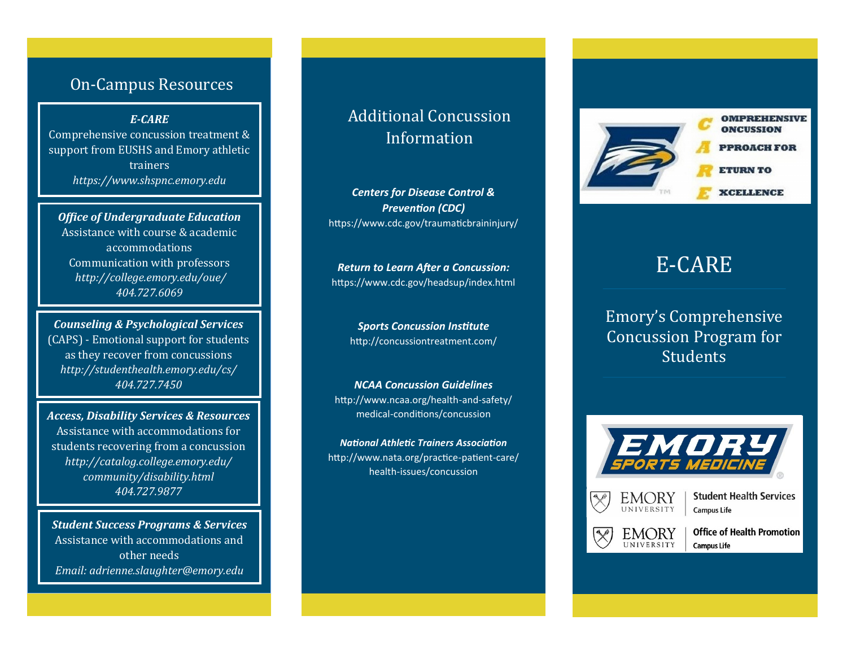### On-Campus Resources

*E-CARE*

Comprehensive concussion treatment & support from EUSHS and Emory athletic trainers *https://www.shspnc.emory.edu*

*Office of Undergraduate Education* Assistance with course & academic accommodations Communication with professors *http://college.emory.edu/oue/ 404.727.6069* 

*Counseling & Psychological Services* (CAPS) - Emotional support for students as they recover from concussions *http://studenthealth.emory.edu/cs/ 404.727.7450* 

*Access, Disability Services & Resources* Assistance with accommodations for students recovering from a concussion *http://catalog.college.emory.edu/ community/disability.html 404.727.9877* 

*Student Success Programs & Services* Assistance with accommodations and other needs *Email: [adrienne.slaughter@emory.edu](mailto:adrienne.slaughter@emory.edu)*

# Additional Concussion Information

*Centers for Disease Control & Prevention (CDC)* https://www.cdc.gov/traumaticbraininjury/

*Return to Learn After a Concussion:* https://www.cdc.gov/headsup/index.html

> *Sports Concussion Institute* http://concussiontreatment.com/

*NCAA Concussion Guidelines* http://www.ncaa.org/health-and-safety/ medical-conditions/concussion

*National Athletic Trainers Association* http://www.nata.org/practice-patient-care/ health-issues/concussion



# E-CARE

Emory's Comprehensive Concussion Program for **Students** 





**Student Health Services Campus Life** 



**Office of Health Promotion** 

**Campus Life**